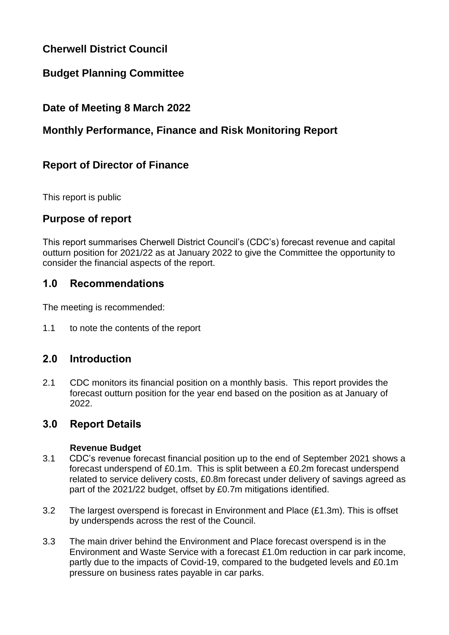# **Cherwell District Council**

# **Budget Planning Committee**

## **Date of Meeting 8 March 2022**

# **Monthly Performance, Finance and Risk Monitoring Report**

# **Report of Director of Finance**

This report is public

### **Purpose of report**

This report summarises Cherwell District Council's (CDC's) forecast revenue and capital outturn position for 2021/22 as at January 2022 to give the Committee the opportunity to consider the financial aspects of the report.

### **1.0 Recommendations**

The meeting is recommended:

1.1 to note the contents of the report

## **2.0 Introduction**

2.1 CDC monitors its financial position on a monthly basis. This report provides the forecast outturn position for the year end based on the position as at January of 2022.

### **3.0 Report Details**

#### **Revenue Budget**

- 3.1 CDC's revenue forecast financial position up to the end of September 2021 shows a forecast underspend of £0.1m. This is split between a £0.2m forecast underspend related to service delivery costs, £0.8m forecast under delivery of savings agreed as part of the 2021/22 budget, offset by £0.7m mitigations identified.
- 3.2 The largest overspend is forecast in Environment and Place (£1.3m). This is offset by underspends across the rest of the Council.
- 3.3 The main driver behind the Environment and Place forecast overspend is in the Environment and Waste Service with a forecast £1.0m reduction in car park income, partly due to the impacts of Covid-19, compared to the budgeted levels and £0.1m pressure on business rates payable in car parks.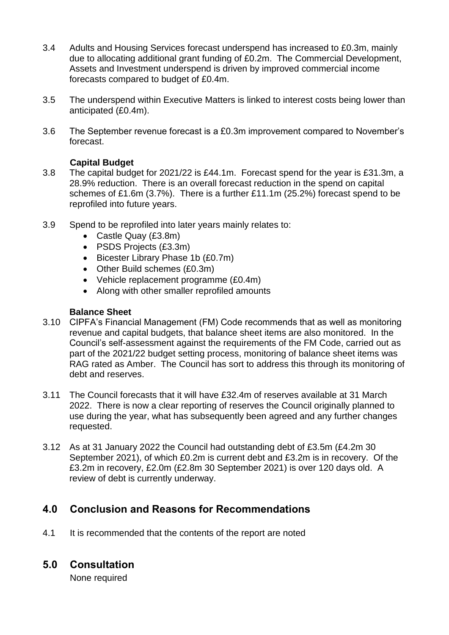- 3.4 Adults and Housing Services forecast underspend has increased to £0.3m, mainly due to allocating additional grant funding of £0.2m. The Commercial Development, Assets and Investment underspend is driven by improved commercial income forecasts compared to budget of £0.4m.
- 3.5 The underspend within Executive Matters is linked to interest costs being lower than anticipated (£0.4m).
- 3.6 The September revenue forecast is a £0.3m improvement compared to November's forecast.

#### **Capital Budget**

- 3.8 The capital budget for 2021/22 is £44.1m. Forecast spend for the year is £31.3m, a 28.9% reduction. There is an overall forecast reduction in the spend on capital schemes of £1.6m (3.7%). There is a further £11.1m (25.2%) forecast spend to be reprofiled into future years.
- 3.9 Spend to be reprofiled into later years mainly relates to:
	- Castle Quay (£3.8m)
	- PSDS Projects (£3.3m)
	- Bicester Library Phase 1b (£0.7m)
	- Other Build schemes (£0.3m)
	- Vehicle replacement programme (£0.4m)
	- Along with other smaller reprofiled amounts

#### **Balance Sheet**

- 3.10 CIPFA's Financial Management (FM) Code recommends that as well as monitoring revenue and capital budgets, that balance sheet items are also monitored. In the Council's self-assessment against the requirements of the FM Code, carried out as part of the 2021/22 budget setting process, monitoring of balance sheet items was RAG rated as Amber. The Council has sort to address this through its monitoring of debt and reserves.
- 3.11 The Council forecasts that it will have £32.4m of reserves available at 31 March 2022. There is now a clear reporting of reserves the Council originally planned to use during the year, what has subsequently been agreed and any further changes requested.
- 3.12 As at 31 January 2022 the Council had outstanding debt of £3.5m (£4.2m 30 September 2021), of which £0.2m is current debt and £3.2m is in recovery. Of the £3.2m in recovery, £2.0m (£2.8m 30 September 2021) is over 120 days old. A review of debt is currently underway.

## **4.0 Conclusion and Reasons for Recommendations**

4.1 It is recommended that the contents of the report are noted

## **5.0 Consultation**

None required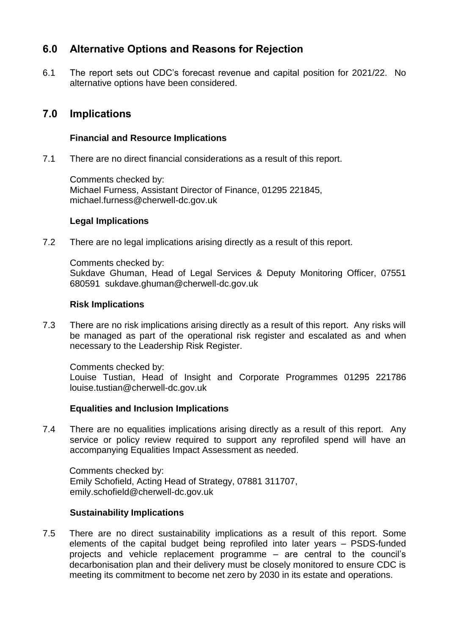## **6.0 Alternative Options and Reasons for Rejection**

6.1 The report sets out CDC's forecast revenue and capital position for 2021/22. No alternative options have been considered.

## **7.0 Implications**

#### **Financial and Resource Implications**

7.1 There are no direct financial considerations as a result of this report.

Comments checked by: Michael Furness, Assistant Director of Finance, 01295 221845, michael.furness@cherwell-dc.gov.uk

#### **Legal Implications**

7.2 There are no legal implications arising directly as a result of this report.

Comments checked by: Sukdave Ghuman, Head of Legal Services & Deputy Monitoring Officer, 07551 680591 sukdave.ghuman@cherwell-dc.gov.uk

#### **Risk Implications**

7.3 There are no risk implications arising directly as a result of this report. Any risks will be managed as part of the operational risk register and escalated as and when necessary to the Leadership Risk Register.

Comments checked by: Louise Tustian, Head of Insight and Corporate Programmes 01295 221786 louise.tustian@cherwell-dc.gov.uk

#### **Equalities and Inclusion Implications**

7.4 There are no equalities implications arising directly as a result of this report. Any service or policy review required to support any reprofiled spend will have an accompanying Equalities Impact Assessment as needed.

Comments checked by: Emily Schofield, Acting Head of Strategy, 07881 311707, emily.schofield@cherwell-dc.gov.uk

#### **Sustainability Implications**

7.5 There are no direct sustainability implications as a result of this report. Some elements of the capital budget being reprofiled into later years – PSDS-funded projects and vehicle replacement programme – are central to the council's decarbonisation plan and their delivery must be closely monitored to ensure CDC is meeting its commitment to become net zero by 2030 in its estate and operations.